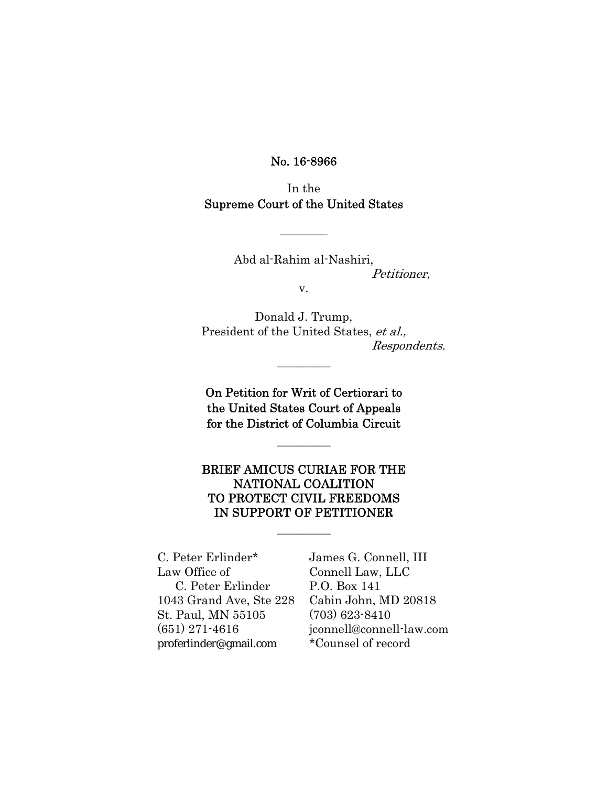No. 16-8966

In the Supreme Court of the United States

 $\overline{\phantom{a}}$ 

Abd al-Rahim al-Nashiri, Petitioner, v.

Donald J. Trump, President of the United States, et al., Respondents.

On Petition for Writ of Certiorari to the United States Court of Appeals for the District of Columbia Circuit

 $\overline{\phantom{a}}$ 

 $\overline{\phantom{a}}$  . The set of the set of the set of the set of the set of the set of the set of the set of the set of the set of the set of the set of the set of the set of the set of the set of the set of the set of the set o

## BRIEF AMICUS CURIAE FOR THE NATIONAL COALITION TO PROTECT CIVIL FREEDOMS IN SUPPORT OF PETITIONER

 $\overline{\phantom{a}}$ 

C. Peter Erlinder\* James G. Connell, III Law Office of Connell Law, LLC C. Peter Erlinder P.O. Box 141 1043 Grand Ave, Ste 228 Cabin John, MD 20818 St. Paul, MN 55105 (703) 623-8410 proferlinder@gmail.com \*Counsel of record

(651) 271-4616 jconnell@connell-law.com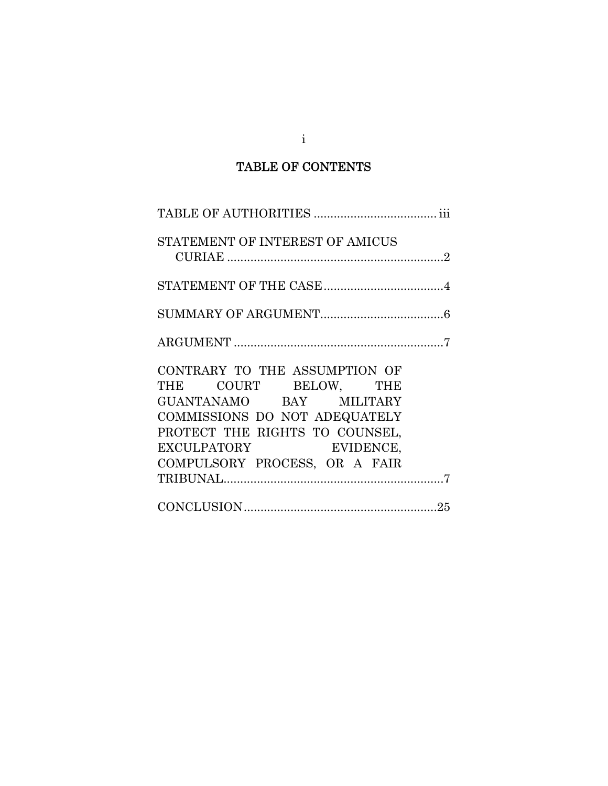## TABLE OF CONTENTS

| STATEMENT OF INTEREST OF AMICUS                                                                                                                                                                               |  |
|---------------------------------------------------------------------------------------------------------------------------------------------------------------------------------------------------------------|--|
|                                                                                                                                                                                                               |  |
|                                                                                                                                                                                                               |  |
|                                                                                                                                                                                                               |  |
| CONTRARY TO THE ASSUMPTION OF<br>THE COURT BELOW, THE<br>GUANTANAMO BAY MILITARY<br>COMMISSIONS DO NOT ADEQUATELY<br>PROTECT THE RIGHTS TO COUNSEL,<br>EXCULPATORY EVIDENCE,<br>COMPULSORY PROCESS, OR A FAIR |  |
|                                                                                                                                                                                                               |  |

i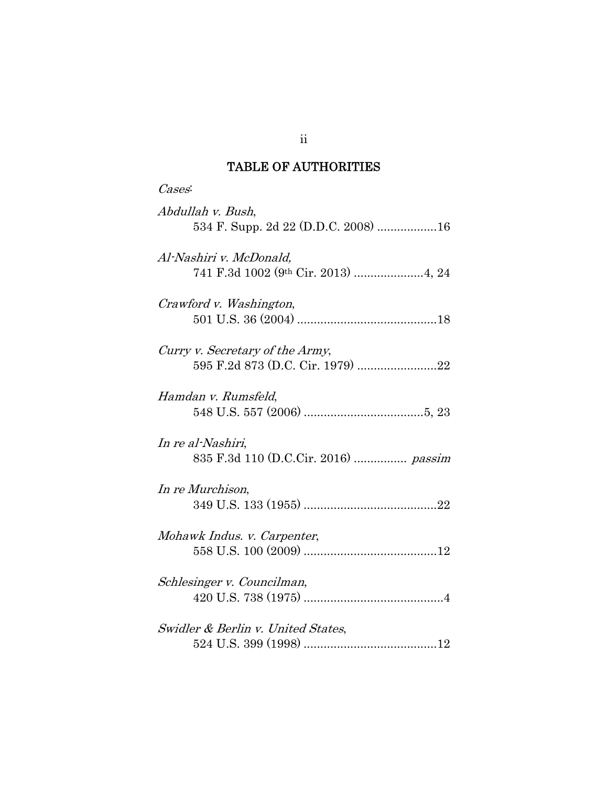# TABLE OF AUTHORITIES

| Cases:                                                    |
|-----------------------------------------------------------|
| Abdullah v. Bush,                                         |
| Al-Nashiri v. McDonald,                                   |
| Crawford v. Washington,                                   |
| Curry v. Secretary of the Army,                           |
| Hamdan v. Rumsfeld,                                       |
| In re al-Nashiri,<br>835 F.3d 110 (D.C.Cir. 2016)  passim |
| In re Murchison,                                          |
| Mohawk Indus. v. Carpenter,                               |
| Schlesinger v. Councilman,                                |
| Swidler & Berlin v. United States,                        |

ii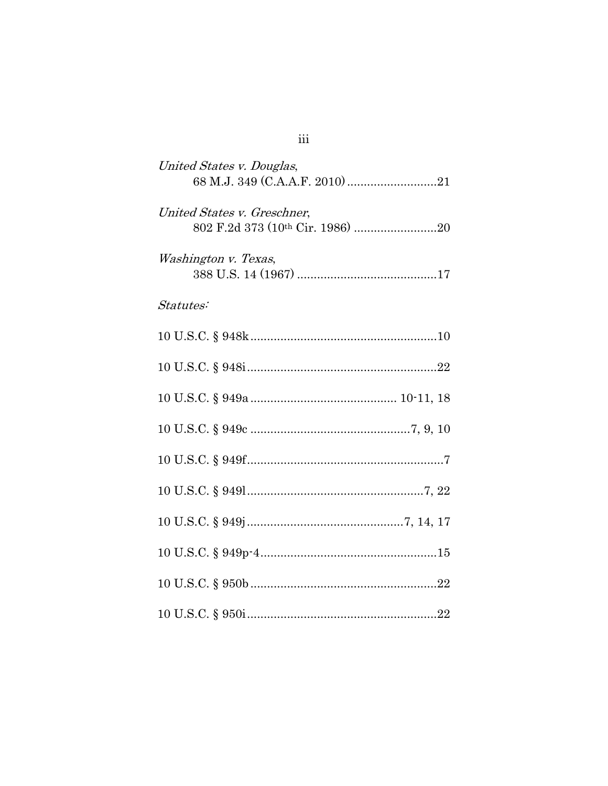| United States v. Douglas,   |
|-----------------------------|
| United States v. Greschner, |
| Washington v. Texas,        |
| Statutes:                   |
|                             |
|                             |
|                             |
|                             |
|                             |
|                             |
|                             |
|                             |
|                             |
|                             |

 $\ddot{\text{iii}}$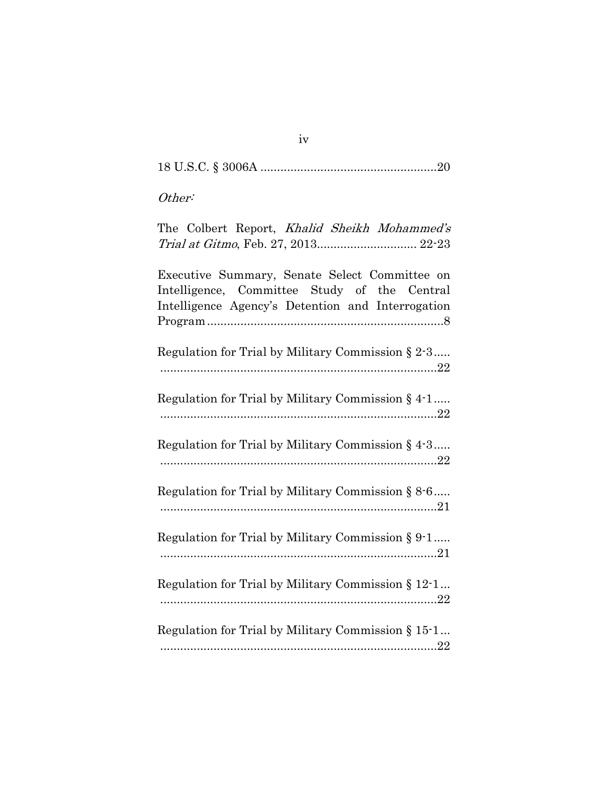| Other:                                                                                                                                             |
|----------------------------------------------------------------------------------------------------------------------------------------------------|
| The Colbert Report, Khalid Sheikh Mohammed's<br>Trial at Gitmo, Feb. 27, 2013 22-23                                                                |
| Executive Summary, Senate Select Committee on<br>Intelligence, Committee Study of the Central<br>Intelligence Agency's Detention and Interrogation |
| Regulation for Trial by Military Commission § 2-3                                                                                                  |
| Regulation for Trial by Military Commission § 4-1                                                                                                  |
| Regulation for Trial by Military Commission $\S$ 4.3                                                                                               |
| Regulation for Trial by Military Commission $\S 8.6$                                                                                               |
| Regulation for Trial by Military Commission § 9-1                                                                                                  |
| Regulation for Trial by Military Commission § 12-1                                                                                                 |
| Regulation for Trial by Military Commission § 15-1                                                                                                 |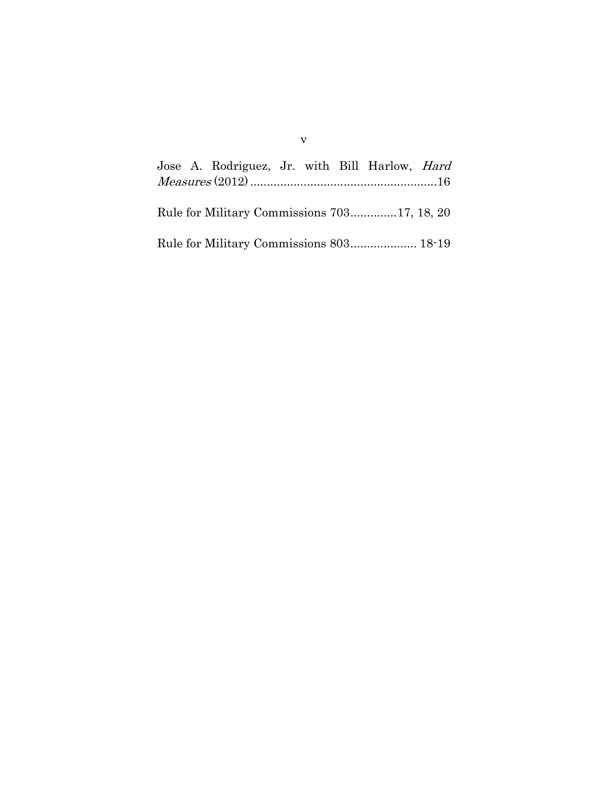|  | Jose A. Rodriguez, Jr. with Bill Harlow, <i>Hard</i> |  |  |  |
|--|------------------------------------------------------|--|--|--|
|  |                                                      |  |  |  |
|  |                                                      |  |  |  |
|  | Rule for Military Commissions 70317, 18, 20          |  |  |  |
|  |                                                      |  |  |  |
|  |                                                      |  |  |  |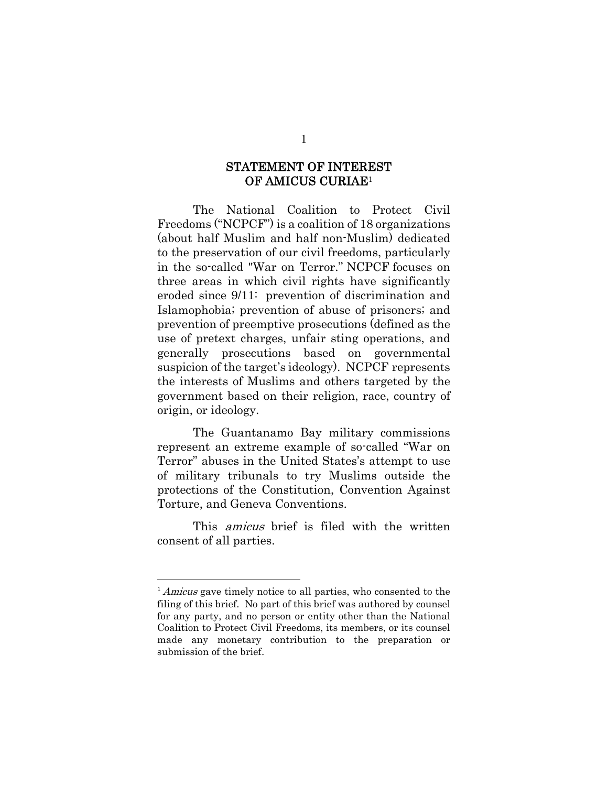## STATEMENT OF INTEREST OF AMICUS CURIAE1

The National Coalition to Protect Civil Freedoms ("NCPCF") is a coalition of 18 organizations (about half Muslim and half non-Muslim) dedicated to the preservation of our civil freedoms, particularly in the so-called "War on Terror." NCPCF focuses on three areas in which civil rights have significantly eroded since 9/11: prevention of discrimination and Islamophobia; prevention of abuse of prisoners; and prevention of preemptive prosecutions (defined as the use of pretext charges, unfair sting operations, and generally prosecutions based on governmental suspicion of the target's ideology). NCPCF represents the interests of Muslims and others targeted by the government based on their religion, race, country of origin, or ideology.

The Guantanamo Bay military commissions represent an extreme example of so-called "War on Terror" abuses in the United States's attempt to use of military tribunals to try Muslims outside the protections of the Constitution, Convention Against Torture, and Geneva Conventions.

This *amicus* brief is filed with the written consent of all parties.

<sup>&</sup>lt;sup>1</sup> Amicus gave timely notice to all parties, who consented to the filing of this brief. No part of this brief was authored by counsel for any party, and no person or entity other than the National Coalition to Protect Civil Freedoms, its members, or its counsel made any monetary contribution to the preparation or submission of the brief.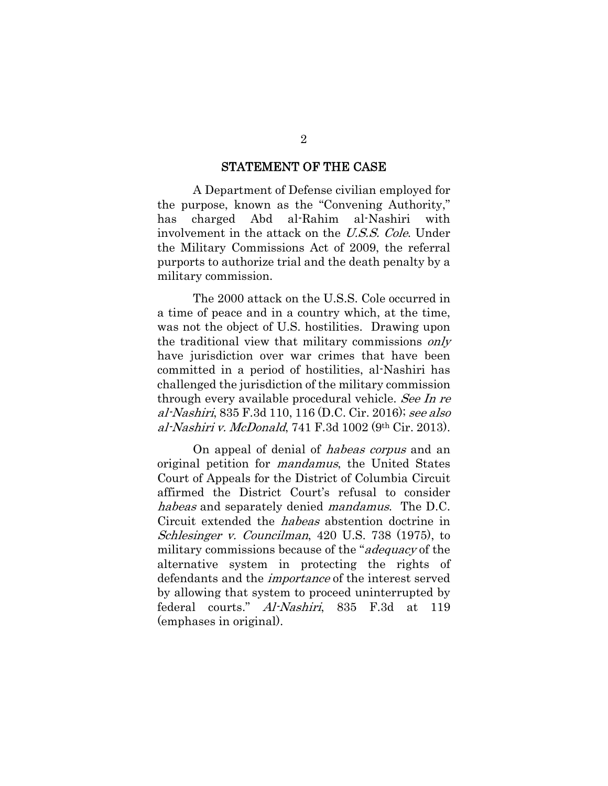#### STATEMENT OF THE CASE

A Department of Defense civilian employed for the purpose, known as the "Convening Authority," has charged Abd al-Rahim al-Nashiri with involvement in the attack on the U.S.S. Cole. Under the Military Commissions Act of 2009, the referral purports to authorize trial and the death penalty by a military commission.

The 2000 attack on the U.S.S. Cole occurred in a time of peace and in a country which, at the time, was not the object of U.S. hostilities. Drawing upon the traditional view that military commissions only have jurisdiction over war crimes that have been committed in a period of hostilities, al-Nashiri has challenged the jurisdiction of the military commission through every available procedural vehicle. See In re al-Nashiri, 835 F.3d 110, 116 (D.C. Cir. 2016); see also al-Nashiri v. McDonald, 741 F.3d 1002 (9th Cir. 2013).

On appeal of denial of habeas corpus and an original petition for mandamus, the United States Court of Appeals for the District of Columbia Circuit affirmed the District Court's refusal to consider habeas and separately denied *mandamus*. The D.C. Circuit extended the habeas abstention doctrine in Schlesinger v. Councilman, 420 U.S. 738 (1975), to military commissions because of the "*adequacy* of the alternative system in protecting the rights of defendants and the importance of the interest served by allowing that system to proceed uninterrupted by federal courts." Al-Nashiri, 835 F.3d at 119 (emphases in original).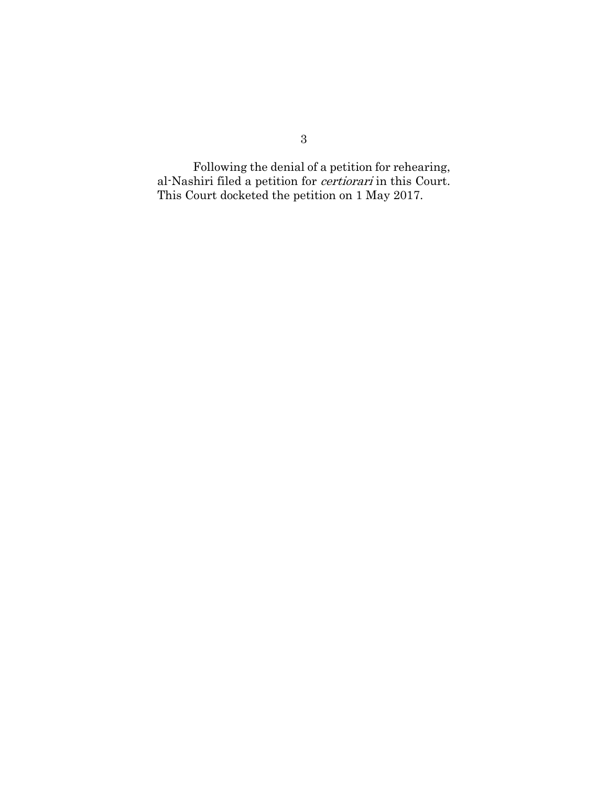Following the denial of a petition for rehearing, al-Nashiri filed a petition for certiorari in this Court. This Court docketed the petition on 1 May 2017.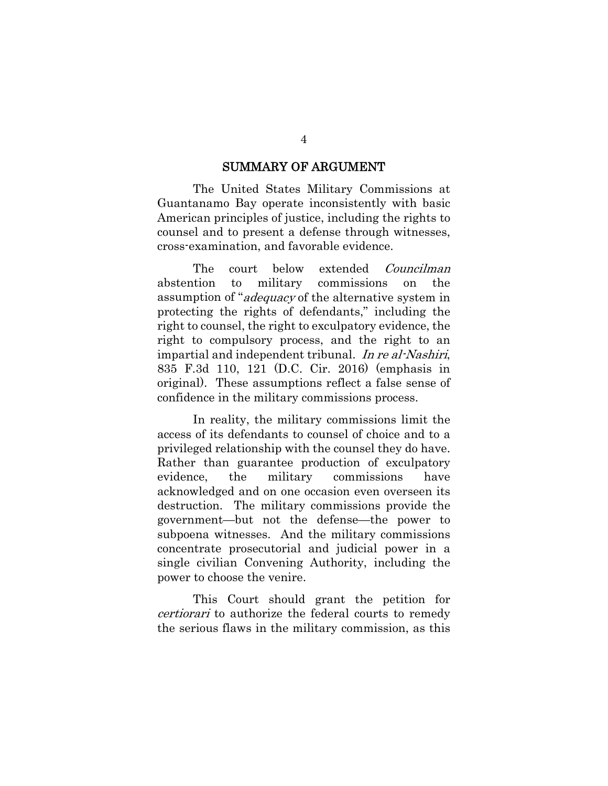#### SUMMARY OF ARGUMENT

The United States Military Commissions at Guantanamo Bay operate inconsistently with basic American principles of justice, including the rights to counsel and to present a defense through witnesses, cross-examination, and favorable evidence.

The court below extended *Councilman* abstention to military commissions on the assumption of "adequacy of the alternative system in protecting the rights of defendants," including the right to counsel, the right to exculpatory evidence, the right to compulsory process, and the right to an impartial and independent tribunal. In re al-Nashiri, 835 F.3d 110, 121 (D.C. Cir. 2016) (emphasis in original). These assumptions reflect a false sense of confidence in the military commissions process.

In reality, the military commissions limit the access of its defendants to counsel of choice and to a privileged relationship with the counsel they do have. Rather than guarantee production of exculpatory evidence, the military commissions have acknowledged and on one occasion even overseen its destruction. The military commissions provide the government—but not the defense—the power to subpoena witnesses. And the military commissions concentrate prosecutorial and judicial power in a single civilian Convening Authority, including the power to choose the venire.

This Court should grant the petition for certiorari to authorize the federal courts to remedy the serious flaws in the military commission, as this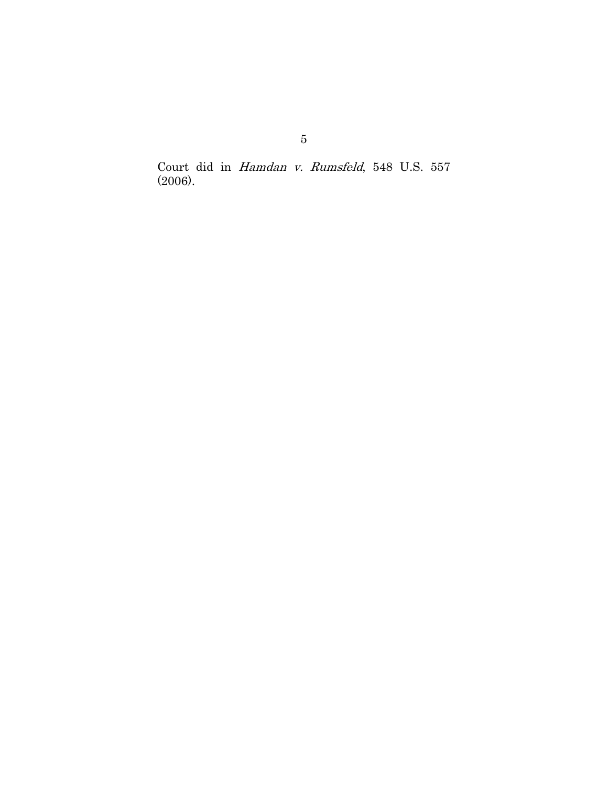Court did in Hamdan v. Rumsfeld, 548 U.S. 557 (2006).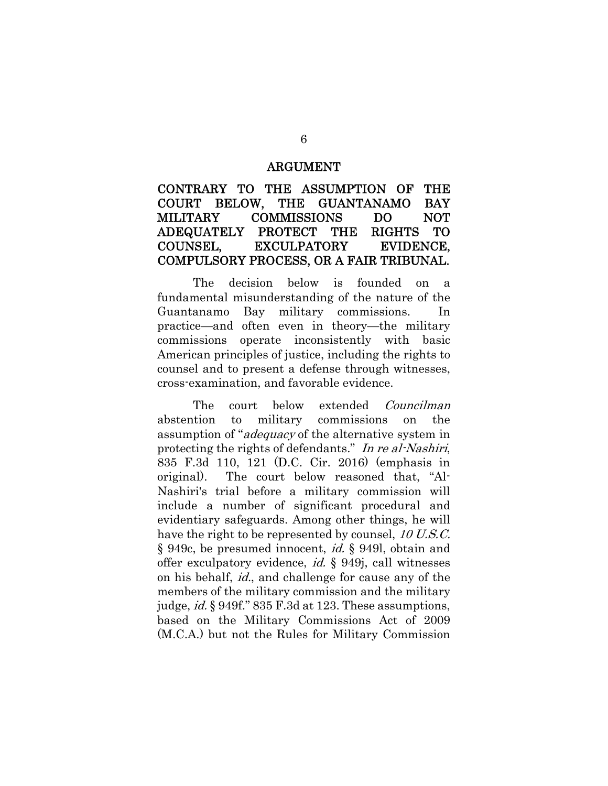#### ARGUMENT

## CONTRARY TO THE ASSUMPTION OF THE COURT BELOW, THE GUANTANAMO BAY MILITARY COMMISSIONS DO NOT ADEQUATELY PROTECT THE RIGHTS TO COUNSEL, EXCULPATORY EVIDENCE, COMPULSORY PROCESS, OR A FAIR TRIBUNAL.

The decision below is founded on a fundamental misunderstanding of the nature of the Guantanamo Bay military commissions. In practice—and often even in theory—the military commissions operate inconsistently with basic American principles of justice, including the rights to counsel and to present a defense through witnesses, cross-examination, and favorable evidence.

The court below extended *Councilman* abstention to military commissions on the assumption of "adequacy of the alternative system in protecting the rights of defendants." In re al-Nashiri, 835 F.3d 110, 121 (D.C. Cir. 2016) (emphasis in original). The court below reasoned that, "Al-Nashiri's trial before a military commission will include a number of significant procedural and evidentiary safeguards. Among other things, he will have the right to be represented by counsel, 10 U.S.C. § 949c, be presumed innocent, id. § 949l, obtain and offer exculpatory evidence, id. § 949j, call witnesses on his behalf, id., and challenge for cause any of the members of the military commission and the military judge, id. § 949f." 835 F.3d at 123. These assumptions, based on the Military Commissions Act of 2009 (M.C.A.) but not the Rules for Military Commission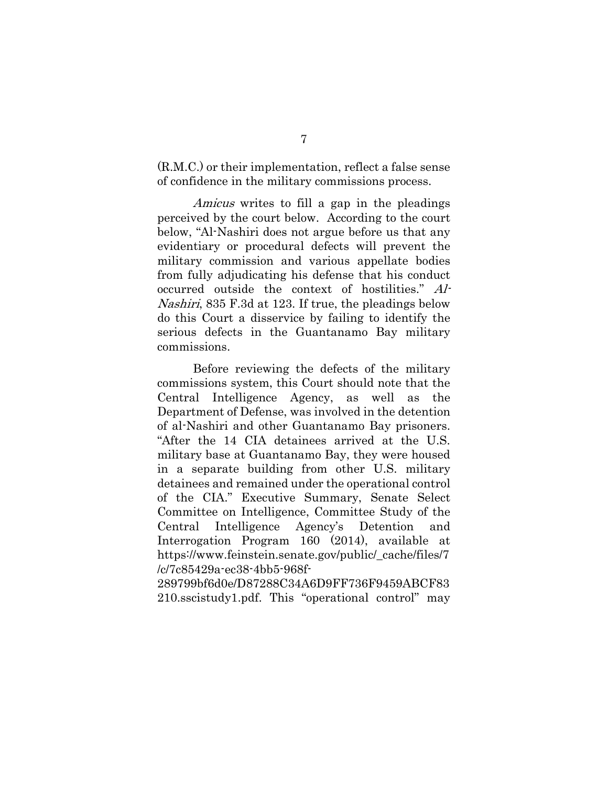(R.M.C.) or their implementation, reflect a false sense of confidence in the military commissions process.

Amicus writes to fill a gap in the pleadings perceived by the court below. According to the court below, "Al-Nashiri does not argue before us that any evidentiary or procedural defects will prevent the military commission and various appellate bodies from fully adjudicating his defense that his conduct occurred outside the context of hostilities." Al-Nashiri, 835 F.3d at 123. If true, the pleadings below do this Court a disservice by failing to identify the serious defects in the Guantanamo Bay military commissions.

Before reviewing the defects of the military commissions system, this Court should note that the Central Intelligence Agency, as well as the Department of Defense, was involved in the detention of al-Nashiri and other Guantanamo Bay prisoners. "After the 14 CIA detainees arrived at the U.S. military base at Guantanamo Bay, they were housed in a separate building from other U.S. military detainees and remained under the operational control of the CIA." Executive Summary, Senate Select Committee on Intelligence, Committee Study of the Central Intelligence Agency's Detention and Interrogation Program 160 (2014), available at https://www.feinstein.senate.gov/public/\_cache/files/7 /c/7c85429a-ec38-4bb5-968f-

289799bf6d0e/D87288C34A6D9FF736F9459ABCF83 210.sscistudy1.pdf. This "operational control" may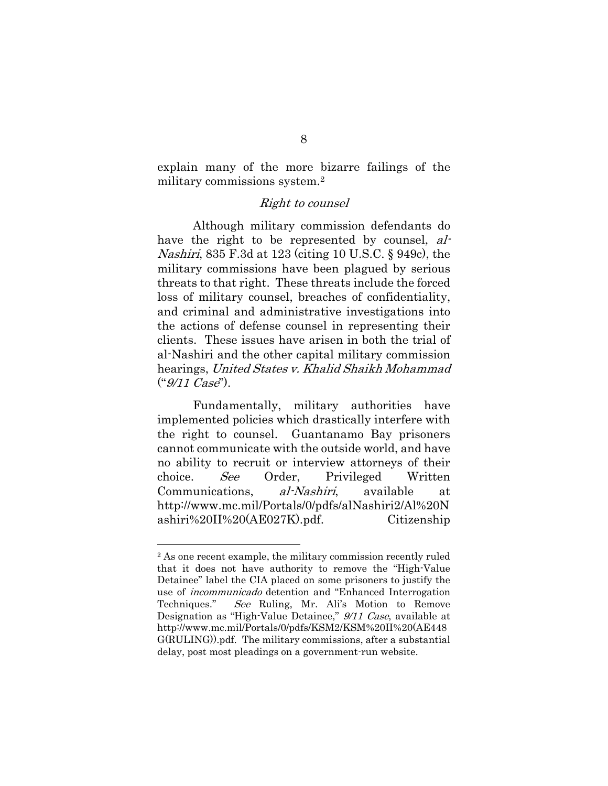explain many of the more bizarre failings of the military commissions system.2

## Right to counsel

Although military commission defendants do have the right to be represented by counsel, al-Nashiri, 835 F.3d at 123 (citing 10 U.S.C. § 949c), the military commissions have been plagued by serious threats to that right. These threats include the forced loss of military counsel, breaches of confidentiality, and criminal and administrative investigations into the actions of defense counsel in representing their clients. These issues have arisen in both the trial of al-Nashiri and the other capital military commission hearings, United States v. Khalid Shaikh Mohammad  $("9/11 Case").$ 

Fundamentally, military authorities have implemented policies which drastically interfere with the right to counsel. Guantanamo Bay prisoners cannot communicate with the outside world, and have no ability to recruit or interview attorneys of their choice. See Order, Privileged Written Communications, al-Nashiri, available at http://www.mc.mil/Portals/0/pdfs/alNashiri2/Al%20N ashiri%20II%20(AE027K).pdf. Citizenship

<sup>2</sup> As one recent example, the military commission recently ruled that it does not have authority to remove the "High-Value Detainee" label the CIA placed on some prisoners to justify the use of incommunicado detention and "Enhanced Interrogation Techniques." See Ruling, Mr. Ali's Motion to Remove Designation as "High-Value Detainee," 9/11 Case, available at http://www.mc.mil/Portals/0/pdfs/KSM2/KSM%20II%20(AE448 G(RULING)).pdf. The military commissions, after a substantial delay, post most pleadings on a government-run website.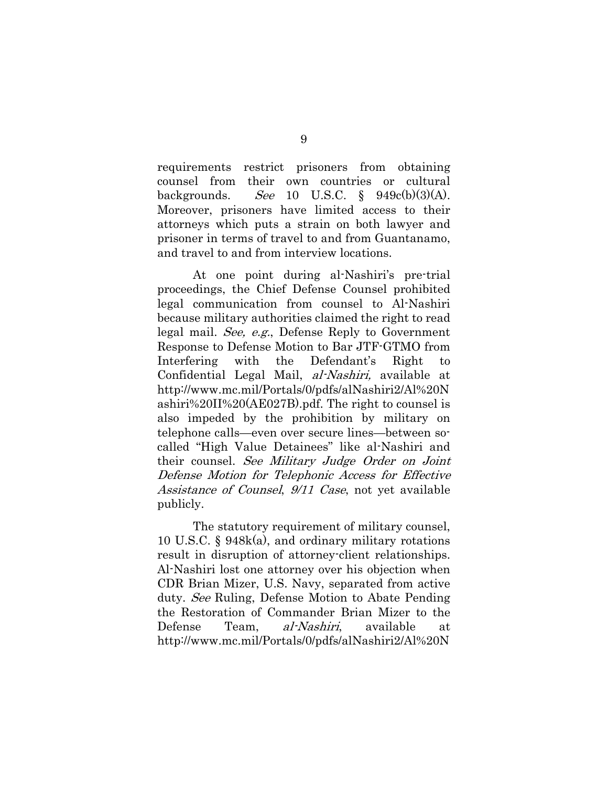requirements restrict prisoners from obtaining counsel from their own countries or cultural backgrounds. See 10 U.S.C.  $\frac{6}{9}$  949c(b)(3)(A). Moreover, prisoners have limited access to their attorneys which puts a strain on both lawyer and prisoner in terms of travel to and from Guantanamo, and travel to and from interview locations.

At one point during al-Nashiri's pre-trial proceedings, the Chief Defense Counsel prohibited legal communication from counsel to Al-Nashiri because military authorities claimed the right to read legal mail. See, e.g., Defense Reply to Government Response to Defense Motion to Bar JTF-GTMO from Interfering with the Defendant's Right to Confidential Legal Mail, al-Nashiri, available at http://www.mc.mil/Portals/0/pdfs/alNashiri2/Al%20N ashiri%20II%20(AE027B).pdf. The right to counsel is also impeded by the prohibition by military on telephone calls—even over secure lines—between socalled "High Value Detainees" like al-Nashiri and their counsel. See Military Judge Order on Joint Defense Motion for Telephonic Access for Effective Assistance of Counsel, 9/11 Case, not yet available publicly.

The statutory requirement of military counsel, 10 U.S.C. § 948k(a), and ordinary military rotations result in disruption of attorney-client relationships. Al-Nashiri lost one attorney over his objection when CDR Brian Mizer, U.S. Navy, separated from active duty. See Ruling, Defense Motion to Abate Pending the Restoration of Commander Brian Mizer to the Defense Team, al-Nashiri, available at http://www.mc.mil/Portals/0/pdfs/alNashiri2/Al%20N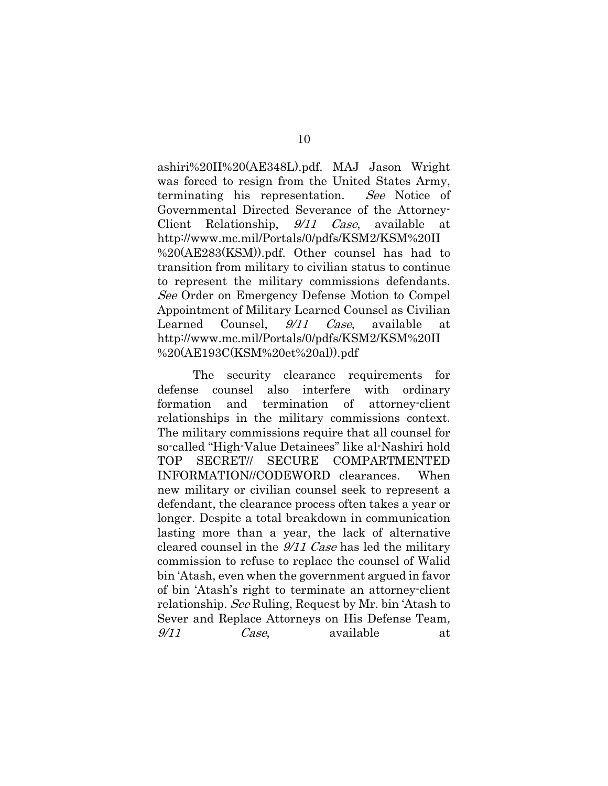ashiri%20II%20(AE348L).pdf. MAJ Jason Wright was forced to resign from the United States Army, terminating his representation. See Notice of Governmental Directed Severance of the Attorney-Client Relationship, 9/11 Case, available at http://www.mc.mil/Portals/0/pdfs/KSM2/KSM%20II %20(AE283(KSM)).pdf. Other counsel has had to transition from military to civilian status to continue to represent the military commissions defendants. See Order on Emergency Defense Motion to Compel Appointment of Military Learned Counsel as Civilian Learned Counsel,  $9/11$  Case, available at http://www.mc.mil/Portals/0/pdfs/KSM2/KSM%20II %20(AE193C(KSM%20et%20al)).pdf

The security clearance requirements for defense counsel also interfere with ordinary formation and termination of attorney-client relationships in the military commissions context. The military commissions require that all counsel for so-called "High-Value Detainees" like al-Nashiri hold TOP SECRET// SECURE COMPARTMENTED INFORMATION//CODEWORD clearances. When new military or civilian counsel seek to represent a defendant, the clearance process often takes a year or longer. Despite a total breakdown in communication lasting more than a year, the lack of alternative cleared counsel in the 9/11 Case has led the military commission to refuse to replace the counsel of Walid bin 'Atash, even when the government argued in favor of bin 'Atash's right to terminate an attorney-client relationship. See Ruling, Request by Mr. bin 'Atash to Sever and Replace Attorneys on His Defense Team, 9/11 Case, available at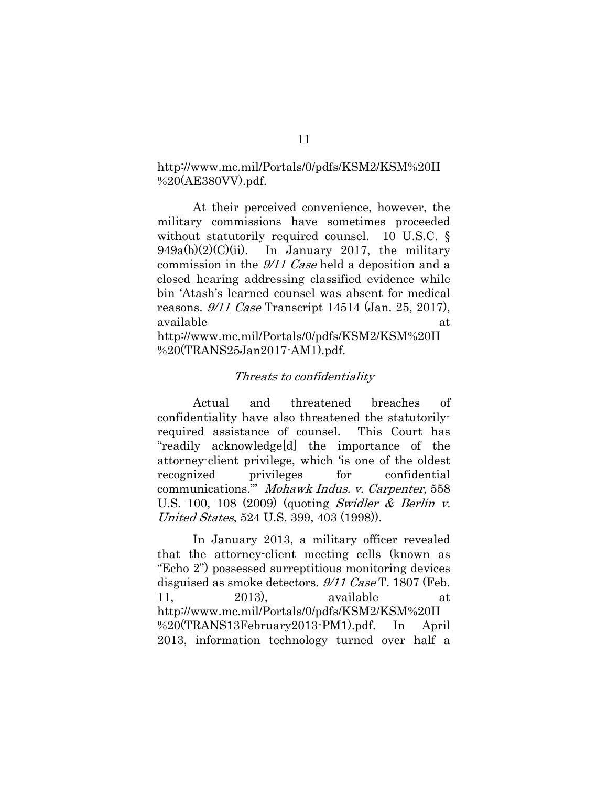http://www.mc.mil/Portals/0/pdfs/KSM2/KSM%20II %20(AE380VV).pdf.

At their perceived convenience, however, the military commissions have sometimes proceeded without statutorily required counsel. 10 U.S.C. §  $949a(b)(2)(C)(ii)$ . In January 2017, the military commission in the 9/11 Case held a deposition and a closed hearing addressing classified evidence while bin 'Atash's learned counsel was absent for medical reasons. 9/11 Case Transcript 14514 (Jan. 25, 2017), available at a state of  $\alpha$  at a state of  $\alpha$ http://www.mc.mil/Portals/0/pdfs/KSM2/KSM%20II

%20(TRANS25Jan2017-AM1).pdf.

#### Threats to confidentiality

Actual and threatened breaches of confidentiality have also threatened the statutorilyrequired assistance of counsel. This Court has "readily acknowledge[d] the importance of the attorney-client privilege, which 'is one of the oldest recognized privileges for confidential communications.'" Mohawk Indus. v. Carpenter, 558 U.S. 100, 108 (2009) (quoting Swidler & Berlin v. United States, 524 U.S. 399, 403 (1998)).

In January 2013, a military officer revealed that the attorney-client meeting cells (known as "Echo 2") possessed surreptitious monitoring devices disguised as smoke detectors. 9/11 Case T. 1807 (Feb. 11, 2013), available at http://www.mc.mil/Portals/0/pdfs/KSM2/KSM%20II %20(TRANS13February2013-PM1).pdf. In April 2013, information technology turned over half a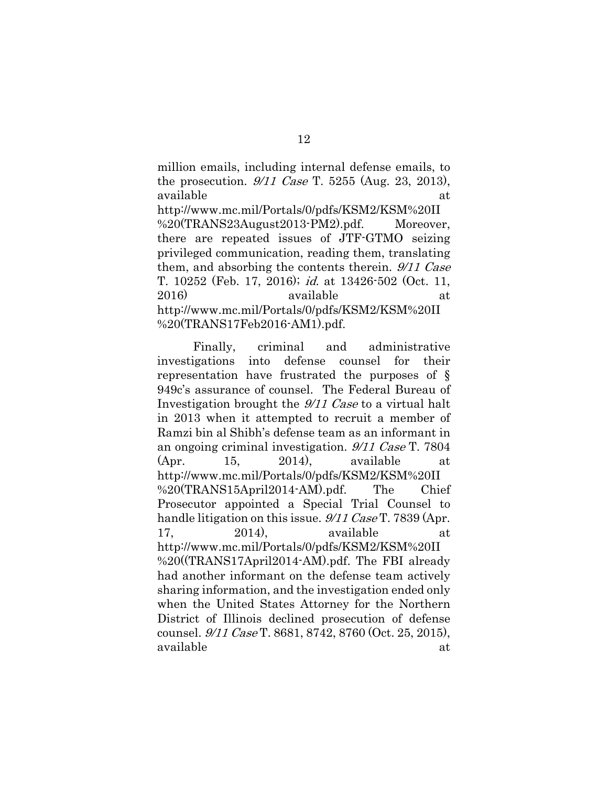million emails, including internal defense emails, to the prosecution.  $9/11$  Case T. 5255 (Aug. 23, 2013), available at a state of  $\alpha$  at a state of  $\alpha$  at a state of  $\alpha$ 

http://www.mc.mil/Portals/0/pdfs/KSM2/KSM%20II %20(TRANS23August2013-PM2).pdf. Moreover, there are repeated issues of JTF-GTMO seizing privileged communication, reading them, translating them, and absorbing the contents therein. 9/11 Case T. 10252 (Feb. 17, 2016); id. at 13426-502 (Oct. 11, 2016) available at http://www.mc.mil/Portals/0/pdfs/KSM2/KSM%20II %20(TRANS17Feb2016-AM1).pdf.

Finally, criminal and administrative investigations into defense counsel for their representation have frustrated the purposes of § 949c's assurance of counsel. The Federal Bureau of Investigation brought the 9/11 Case to a virtual halt in 2013 when it attempted to recruit a member of Ramzi bin al Shibh's defense team as an informant in an ongoing criminal investigation. 9/11 Case T. 7804 (Apr. 15, 2014), available at http://www.mc.mil/Portals/0/pdfs/KSM2/KSM%20II %20(TRANS15April2014-AM).pdf. The Chief Prosecutor appointed a Special Trial Counsel to handle litigation on this issue. 9/11 Case T. 7839 (Apr. 17, 2014), available at http://www.mc.mil/Portals/0/pdfs/KSM2/KSM%20II %20((TRANS17April2014-AM).pdf. The FBI already had another informant on the defense team actively sharing information, and the investigation ended only when the United States Attorney for the Northern District of Illinois declined prosecution of defense counsel. 9/11 Case T. 8681, 8742, 8760 (Oct. 25, 2015), available at a state of  $\alpha$  at a state of  $\alpha$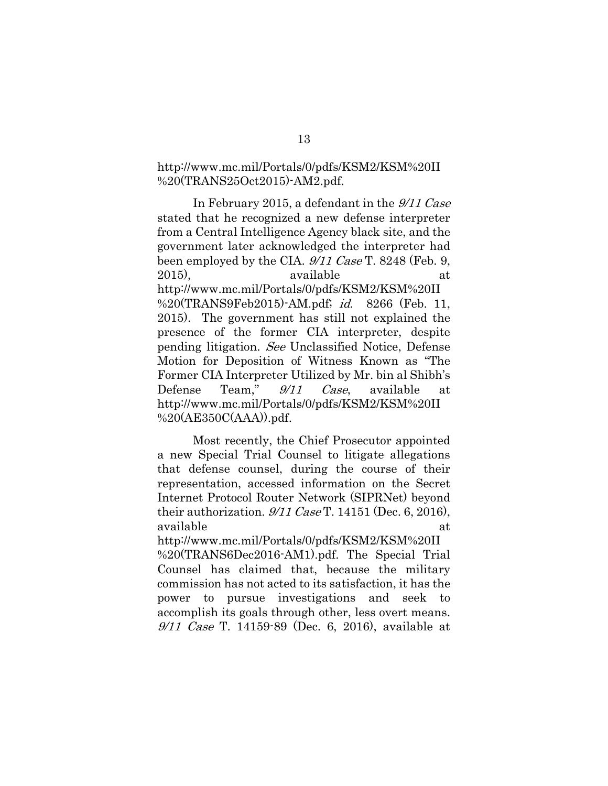## http://www.mc.mil/Portals/0/pdfs/KSM2/KSM%20II %20(TRANS25Oct2015)-AM2.pdf.

In February 2015, a defendant in the 9/11 Case stated that he recognized a new defense interpreter from a Central Intelligence Agency black site, and the government later acknowledged the interpreter had been employed by the CIA.  $\frac{9}{11}$  Case T. 8248 (Feb. 9, 2015), available at http://www.mc.mil/Portals/0/pdfs/KSM2/KSM%20II %20(TRANS9Feb2015)-AM.pdf; id. 8266 (Feb. 11, 2015). The government has still not explained the presence of the former CIA interpreter, despite pending litigation. See Unclassified Notice, Defense Motion for Deposition of Witness Known as "The Former CIA Interpreter Utilized by Mr. bin al Shibh's Defense Team," 9/11 Case, available at http://www.mc.mil/Portals/0/pdfs/KSM2/KSM%20II %20(AE350C(AAA)).pdf.

Most recently, the Chief Prosecutor appointed a new Special Trial Counsel to litigate allegations that defense counsel, during the course of their representation, accessed information on the Secret Internet Protocol Router Network (SIPRNet) beyond their authorization.  $9/11$  Case T. 14151 (Dec. 6, 2016), available at a state of  $\alpha$  at a state of  $\alpha$ 

http://www.mc.mil/Portals/0/pdfs/KSM2/KSM%20II %20(TRANS6Dec2016-AM1).pdf. The Special Trial Counsel has claimed that, because the military commission has not acted to its satisfaction, it has the power to pursue investigations and seek to accomplish its goals through other, less overt means.  $9/11$  Case T. 14159-89 (Dec. 6, 2016), available at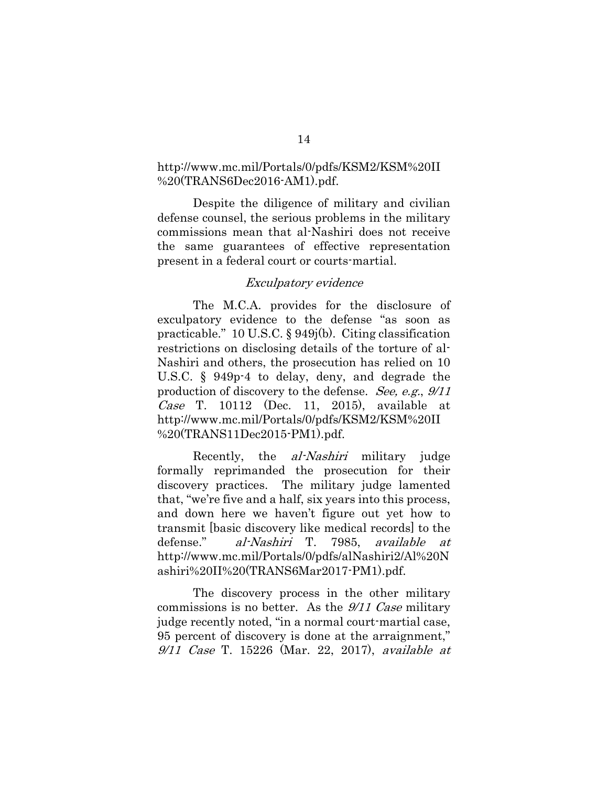## http://www.mc.mil/Portals/0/pdfs/KSM2/KSM%20II %20(TRANS6Dec2016-AM1).pdf.

Despite the diligence of military and civilian defense counsel, the serious problems in the military commissions mean that al-Nashiri does not receive the same guarantees of effective representation present in a federal court or courts-martial.

#### Exculpatory evidence

The M.C.A. provides for the disclosure of exculpatory evidence to the defense "as soon as practicable." 10 U.S.C. § 949j(b). Citing classification restrictions on disclosing details of the torture of al-Nashiri and others, the prosecution has relied on 10 U.S.C. § 949p-4 to delay, deny, and degrade the production of discovery to the defense. See, e.g., 9/11 Case T. 10112 (Dec. 11, 2015), available at http://www.mc.mil/Portals/0/pdfs/KSM2/KSM%20II %20(TRANS11Dec2015-PM1).pdf.

Recently, the *al-Nashiri* military judge formally reprimanded the prosecution for their discovery practices. The military judge lamented that, "we're five and a half, six years into this process, and down here we haven't figure out yet how to transmit [basic discovery like medical records] to the defense." al-Nashiri T. 7985, available at http://www.mc.mil/Portals/0/pdfs/alNashiri2/Al%20N ashiri%20II%20(TRANS6Mar2017-PM1).pdf.

The discovery process in the other military commissions is no better. As the 9/11 Case military judge recently noted, "in a normal court-martial case, 95 percent of discovery is done at the arraignment," 9/11 Case T. 15226 (Mar. 22, 2017), available at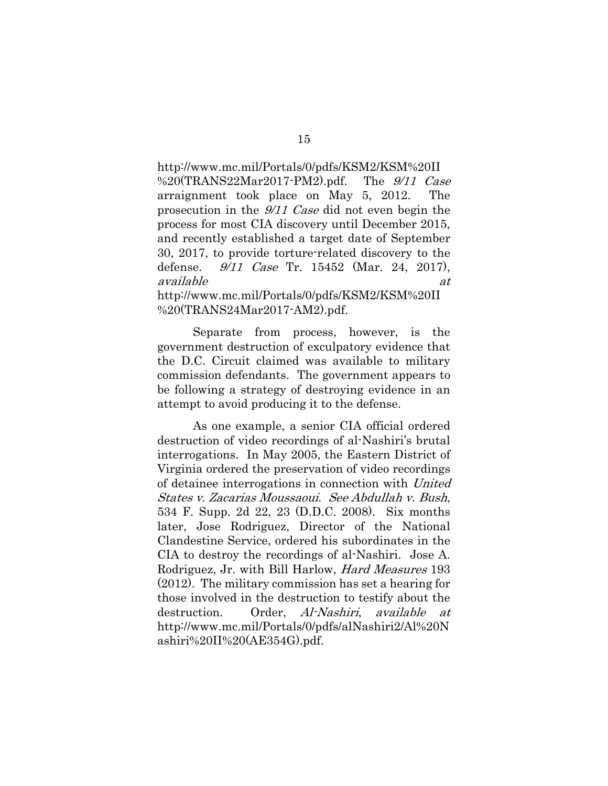http://www.mc.mil/Portals/0/pdfs/KSM2/KSM%20II %20(TRANS22Mar2017-PM2).pdf. The  $9/11$  Case arraignment took place on May 5, 2012. The prosecution in the  $\frac{9}{11}$  Case did not even begin the process for most CIA discovery until December 2015, and recently established a target date of September 30, 2017, to provide torture-related discovery to the defense. 9/11 Case Tr. 15452 (Mar. 24, 2017), available at  $at$ http://www.mc.mil/Portals/0/pdfs/KSM2/KSM%20II

%20(TRANS24Mar2017-AM2).pdf.

Separate from process, however, is the government destruction of exculpatory evidence that the D.C. Circuit claimed was available to military commission defendants. The government appears to be following a strategy of destroying evidence in an attempt to avoid producing it to the defense.

As one example, a senior CIA official ordered destruction of video recordings of al-Nashiri's brutal interrogations. In May 2005, the Eastern District of Virginia ordered the preservation of video recordings of detainee interrogations in connection with United States v. Zacarias Moussaoui. See Abdullah v. Bush, 534 F. Supp. 2d 22, 23 (D.D.C. 2008). Six months later, Jose Rodriguez, Director of the National Clandestine Service, ordered his subordinates in the CIA to destroy the recordings of al-Nashiri. Jose A. Rodriguez, Jr. with Bill Harlow, Hard Measures 193 (2012). The military commission has set a hearing for those involved in the destruction to testify about the destruction. Order, Al-Nashiri, available at http://www.mc.mil/Portals/0/pdfs/alNashiri2/Al%20N ashiri%20II%20(AE354G).pdf.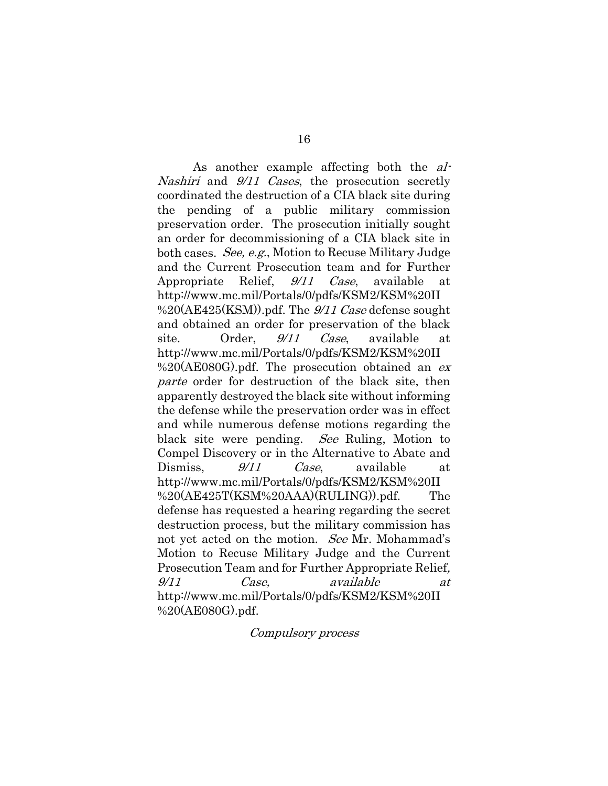As another example affecting both the al-Nashiri and  $9/11$  Cases, the prosecution secretly coordinated the destruction of a CIA black site during the pending of a public military commission preservation order. The prosecution initially sought an order for decommissioning of a CIA black site in both cases. See, e.g., Motion to Recuse Military Judge and the Current Prosecution team and for Further Appropriate Relief, *9/11 Case*, available at http://www.mc.mil/Portals/0/pdfs/KSM2/KSM%20II  $\%20(AE425(KSM))$ .pdf. The  $\frac{9}{11}$  Case defense sought and obtained an order for preservation of the black site. Order,  $9/11$  Case, available at http://www.mc.mil/Portals/0/pdfs/KSM2/KSM%20II  $\%20(AE080G)$ .pdf. The prosecution obtained an ex parte order for destruction of the black site, then apparently destroyed the black site without informing the defense while the preservation order was in effect and while numerous defense motions regarding the black site were pending. See Ruling, Motion to Compel Discovery or in the Alternative to Abate and Dismiss,  $\frac{9}{11}$  Case, available at http://www.mc.mil/Portals/0/pdfs/KSM2/KSM%20II %20(AE425T(KSM%20AAA)(RULING)).pdf. The defense has requested a hearing regarding the secret destruction process, but the military commission has not yet acted on the motion. See Mr. Mohammad's Motion to Recuse Military Judge and the Current Prosecution Team and for Further Appropriate Relief, 9/11 Case, available at http://www.mc.mil/Portals/0/pdfs/KSM2/KSM%20II %20(AE080G).pdf.

#### Compulsory process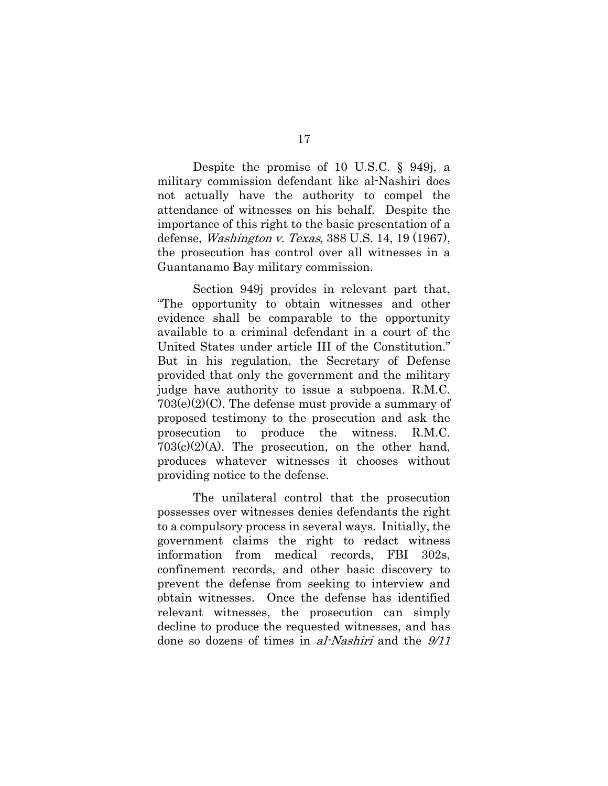Despite the promise of 10 U.S.C. § 949j, a military commission defendant like al-Nashiri does not actually have the authority to compel the attendance of witnesses on his behalf. Despite the importance of this right to the basic presentation of a defense, Washington v. Texas, 388 U.S. 14, 19 (1967), the prosecution has control over all witnesses in a Guantanamo Bay military commission.

Section 949j provides in relevant part that, "The opportunity to obtain witnesses and other evidence shall be comparable to the opportunity available to a criminal defendant in a court of the United States under article III of the Constitution." But in his regulation, the Secretary of Defense provided that only the government and the military judge have authority to issue a subpoena. R.M.C.  $703(e)(2)(C)$ . The defense must provide a summary of proposed testimony to the prosecution and ask the prosecution to produce the witness. R.M.C. 703(c)(2)(A). The prosecution, on the other hand, produces whatever witnesses it chooses without providing notice to the defense.

The unilateral control that the prosecution possesses over witnesses denies defendants the right to a compulsory process in several ways. Initially, the government claims the right to redact witness information from medical records, FBI 302s, confinement records, and other basic discovery to prevent the defense from seeking to interview and obtain witnesses. Once the defense has identified relevant witnesses, the prosecution can simply decline to produce the requested witnesses, and has done so dozens of times in al-Nashiri and the  $9/11$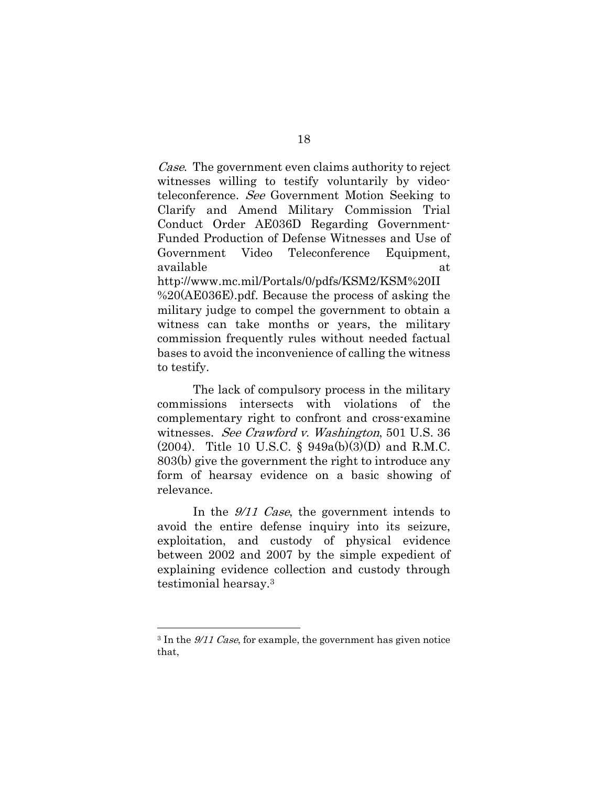Case. The government even claims authority to reject witnesses willing to testify voluntarily by videoteleconference. See Government Motion Seeking to Clarify and Amend Military Commission Trial Conduct Order AE036D Regarding Government-Funded Production of Defense Witnesses and Use of Government Video Teleconference Equipment, available at a state of  $\alpha$  at a state of  $\alpha$ http://www.mc.mil/Portals/0/pdfs/KSM2/KSM%20II %20(AE036E).pdf. Because the process of asking the military judge to compel the government to obtain a witness can take months or years, the military commission frequently rules without needed factual bases to avoid the inconvenience of calling the witness to testify.

The lack of compulsory process in the military commissions intersects with violations of the complementary right to confront and cross-examine witnesses. See Crawford v. Washington, 501 U.S. 36 (2004). Title 10 U.S.C. § 949a(b)(3)(D) and R.M.C. 803(b) give the government the right to introduce any form of hearsay evidence on a basic showing of relevance.

In the 9/11 Case, the government intends to avoid the entire defense inquiry into its seizure, exploitation, and custody of physical evidence between 2002 and 2007 by the simple expedient of explaining evidence collection and custody through testimonial hearsay.3

<sup>3</sup> In the 9/11 Case, for example, the government has given notice that,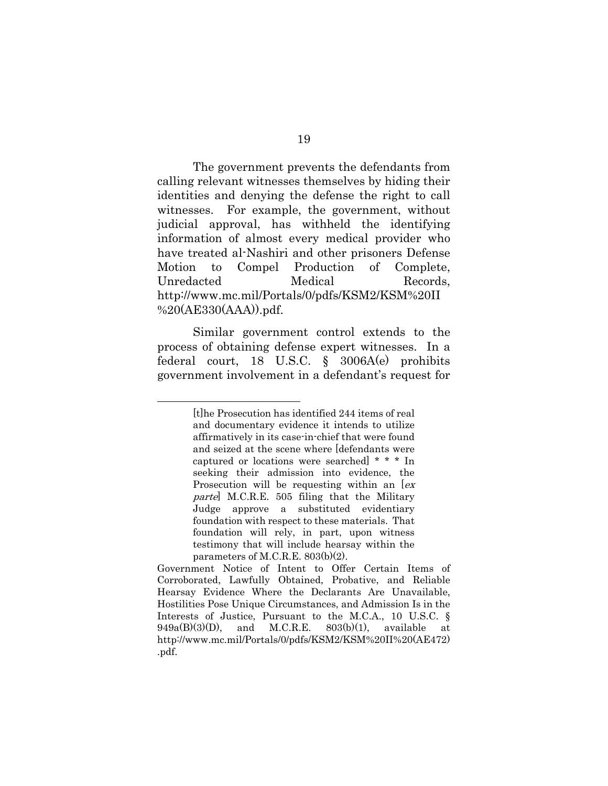The government prevents the defendants from calling relevant witnesses themselves by hiding their identities and denying the defense the right to call witnesses. For example, the government, without judicial approval, has withheld the identifying information of almost every medical provider who have treated al-Nashiri and other prisoners Defense Motion to Compel Production of Complete, Unredacted Medical Records, http://www.mc.mil/Portals/0/pdfs/KSM2/KSM%20II %20(AE330(AAA)).pdf.

Similar government control extends to the process of obtaining defense expert witnesses. In a federal court, 18 U.S.C. § 3006A(e) prohibits government involvement in a defendant's request for

<sup>[</sup>t]he Prosecution has identified 244 items of real and documentary evidence it intends to utilize affirmatively in its case-in-chief that were found and seized at the scene where [defendants were captured or locations were searched] \* \* \* In seeking their admission into evidence, the Prosecution will be requesting within an  $[ex]$ parte] M.C.R.E. 505 filing that the Military Judge approve a substituted evidentiary foundation with respect to these materials. That foundation will rely, in part, upon witness testimony that will include hearsay within the parameters of M.C.R.E. 803(b)(2).

Government Notice of Intent to Offer Certain Items of Corroborated, Lawfully Obtained, Probative, and Reliable Hearsay Evidence Where the Declarants Are Unavailable, Hostilities Pose Unique Circumstances, and Admission Is in the Interests of Justice, Pursuant to the M.C.A., 10 U.S.C. §  $949a(B)(3)(D)$ , and M.C.R.E.  $803(b)(1)$ , available at http://www.mc.mil/Portals/0/pdfs/KSM2/KSM%20II%20(AE472) .pdf.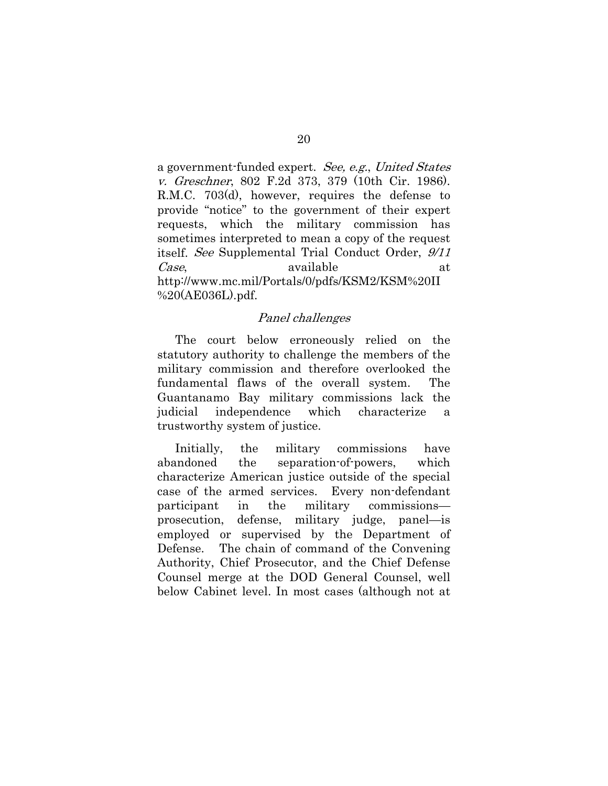a government-funded expert. See, e.g., United States v. Greschner, 802 F.2d 373, 379 (10th Cir. 1986). R.M.C. 703(d), however, requires the defense to provide "notice" to the government of their expert requests, which the military commission has sometimes interpreted to mean a copy of the request itself. See Supplemental Trial Conduct Order, 9/11 Case, available at at http://www.mc.mil/Portals/0/pdfs/KSM2/KSM%20II %20(AE036L).pdf.

#### Panel challenges

The court below erroneously relied on the statutory authority to challenge the members of the military commission and therefore overlooked the fundamental flaws of the overall system. The Guantanamo Bay military commissions lack the judicial independence which characterize a trustworthy system of justice.

Initially, the military commissions have abandoned the separation-of-powers, which characterize American justice outside of the special case of the armed services. Every non-defendant participant in the military commissions prosecution, defense, military judge, panel—is employed or supervised by the Department of Defense. The chain of command of the Convening Authority, Chief Prosecutor, and the Chief Defense Counsel merge at the DOD General Counsel, well below Cabinet level. In most cases (although not at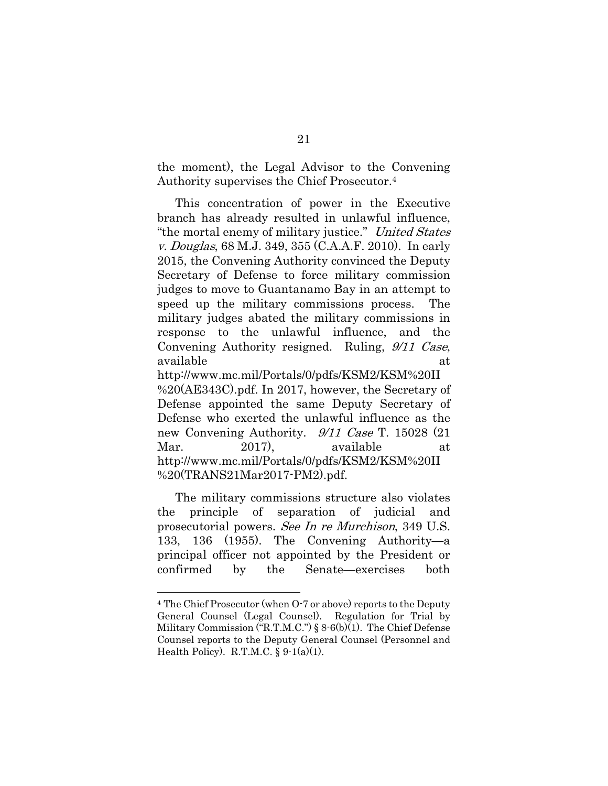the moment), the Legal Advisor to the Convening Authority supervises the Chief Prosecutor.4

This concentration of power in the Executive branch has already resulted in unlawful influence, "the mortal enemy of military justice." United States v. Douglas, 68 M.J. 349, 355 (C.A.A.F. 2010). In early 2015, the Convening Authority convinced the Deputy Secretary of Defense to force military commission judges to move to Guantanamo Bay in an attempt to speed up the military commissions process. The military judges abated the military commissions in response to the unlawful influence, and the Convening Authority resigned. Ruling, 9/11 Case, available at a state of  $\alpha$  at a state of  $\alpha$ 

http://www.mc.mil/Portals/0/pdfs/KSM2/KSM%20II %20(AE343C).pdf. In 2017, however, the Secretary of Defense appointed the same Deputy Secretary of Defense who exerted the unlawful influence as the new Convening Authority. 9/11 Case T. 15028 (21 Mar. 2017), available at http://www.mc.mil/Portals/0/pdfs/KSM2/KSM%20II %20(TRANS21Mar2017-PM2).pdf.

The military commissions structure also violates the principle of separation of judicial and prosecutorial powers. See In re Murchison, 349 U.S. 133, 136 (1955). The Convening Authority—a principal officer not appointed by the President or confirmed by the Senate—exercises both

<sup>4</sup> The Chief Prosecutor (when O-7 or above) reports to the Deputy General Counsel (Legal Counsel). Regulation for Trial by Military Commission ("R.T.M.C.") § 8-6(b)(1). The Chief Defense Counsel reports to the Deputy General Counsel (Personnel and Health Policy). R.T.M.C.  $\S 9-1(a)(1)$ .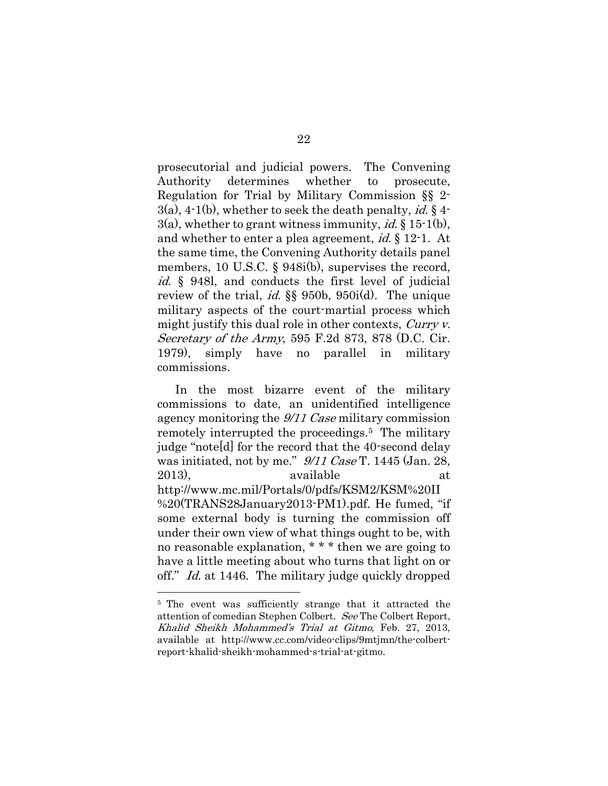prosecutorial and judicial powers. The Convening Authority determines whether to prosecute, Regulation for Trial by Military Commission §§ 2-  $3(a)$ ,  $4-1(b)$ , whether to seek the death penalty, id. §  $4-$ 3(a), whether to grant witness immunity, *id.*  $\S 15$ -1(b), and whether to enter a plea agreement, id. § 12-1. At the same time, the Convening Authority details panel members, 10 U.S.C. § 948i(b), supervises the record, id. § 948l, and conducts the first level of judicial review of the trial, id. §§ 950b, 950i(d). The unique military aspects of the court-martial process which might justify this dual role in other contexts, Curry v. Secretary of the Army, 595 F.2d 873, 878 (D.C. Cir. 1979), simply have no parallel in military commissions.

In the most bizarre event of the military commissions to date, an unidentified intelligence agency monitoring the 9/11 Case military commission remotely interrupted the proceedings.5 The military judge "note[d] for the record that the 40-second delay was initiated, not by me."  $9/11$  Case T. 1445 (Jan. 28, 2013), available at http://www.mc.mil/Portals/0/pdfs/KSM2/KSM%20II %20(TRANS28January2013-PM1).pdf. He fumed, "if some external body is turning the commission off under their own view of what things ought to be, with no reasonable explanation, \* \* \* then we are going to have a little meeting about who turns that light on or off." Id. at 1446. The military judge quickly dropped

<sup>5</sup> The event was sufficiently strange that it attracted the attention of comedian Stephen Colbert. See The Colbert Report, Khalid Sheikh Mohammed's Trial at Gitmo, Feb. 27, 2013, available at http://www.cc.com/video-clips/9mtjmn/the-colbertreport-khalid-sheikh-mohammed-s-trial-at-gitmo.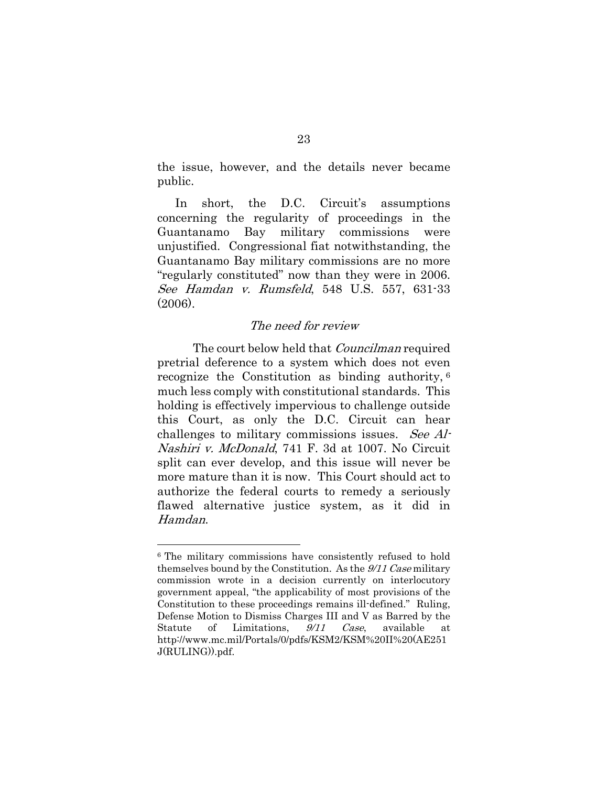the issue, however, and the details never became public.

In short, the D.C. Circuit's assumptions concerning the regularity of proceedings in the Guantanamo Bay military commissions were unjustified. Congressional fiat notwithstanding, the Guantanamo Bay military commissions are no more "regularly constituted" now than they were in 2006. See Hamdan v. Rumsfeld, 548 U.S. 557, 631-33 (2006).

## The need for review

The court below held that *Councilman* required pretrial deference to a system which does not even recognize the Constitution as binding authority, 6 much less comply with constitutional standards. This holding is effectively impervious to challenge outside this Court, as only the D.C. Circuit can hear challenges to military commissions issues. See Al-Nashiri v. McDonald, 741 F. 3d at 1007. No Circuit split can ever develop, and this issue will never be more mature than it is now. This Court should act to authorize the federal courts to remedy a seriously flawed alternative justice system, as it did in Hamdan.

<sup>6</sup> The military commissions have consistently refused to hold themselves bound by the Constitution. As the 9/11 Case military commission wrote in a decision currently on interlocutory government appeal, "the applicability of most provisions of the Constitution to these proceedings remains ill-defined." Ruling, Defense Motion to Dismiss Charges III and V as Barred by the Statute of Limitations,  $9/11$  Case, available at http://www.mc.mil/Portals/0/pdfs/KSM2/KSM%20II%20(AE251 J(RULING)).pdf.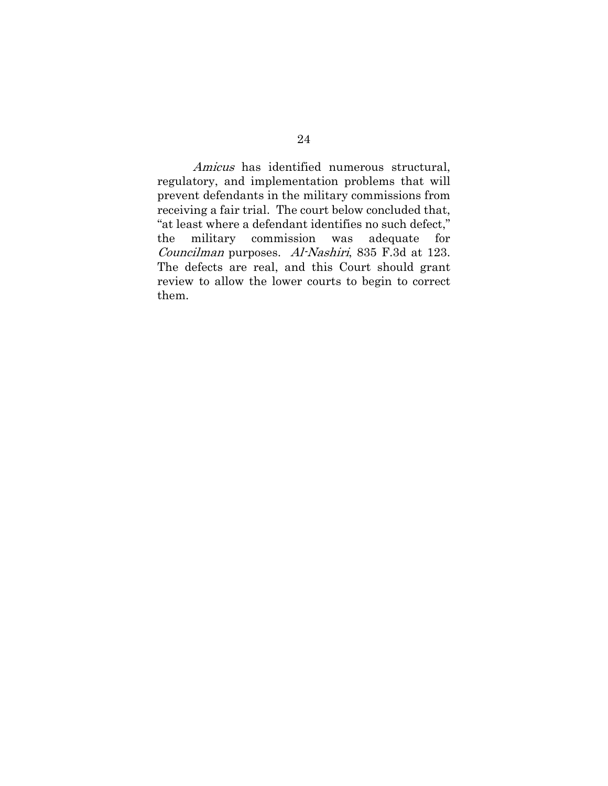Amicus has identified numerous structural, regulatory, and implementation problems that will prevent defendants in the military commissions from receiving a fair trial. The court below concluded that, "at least where a defendant identifies no such defect," the military commission was adequate for Councilman purposes. Al-Nashiri, 835 F.3d at 123. The defects are real, and this Court should grant review to allow the lower courts to begin to correct them.